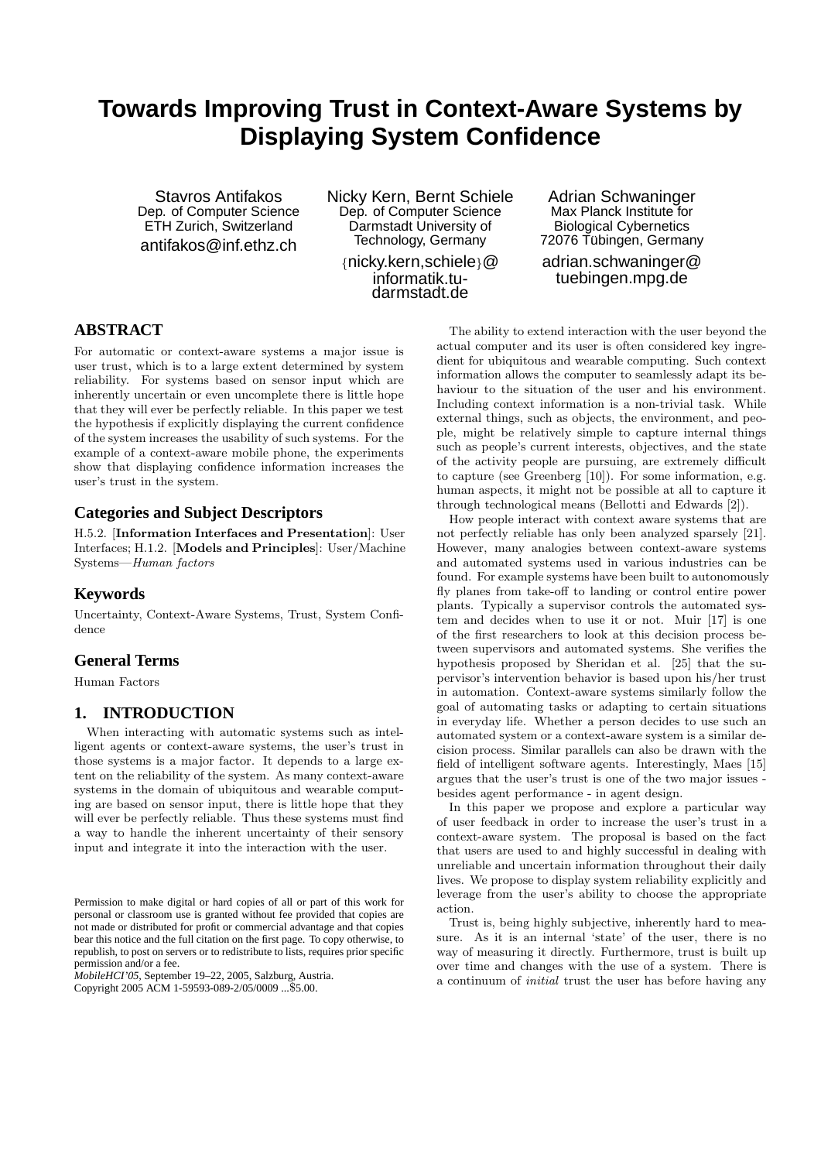# **Towards Improving Trust in Context-Aware Systems by Displaying System Confidence**

Stavros Antifakos Dep. of Computer Science ETH Zurich, Switzerland antifakos@inf.ethz.ch

Nicky Kern, Bernt Schiele Dep. of Computer Science Darmstadt University of Technology, Germany

{nicky.kern,schiele}@ informatik.tudarmstadt.de

Adrian Schwaninger Max Planck Institute for Biological Cybernetics 72076 Tübingen, Germany

adrian.schwaninger@ tuebingen.mpg.de

# **ABSTRACT**

For automatic or context-aware systems a major issue is user trust, which is to a large extent determined by system reliability. For systems based on sensor input which are inherently uncertain or even uncomplete there is little hope that they will ever be perfectly reliable. In this paper we test the hypothesis if explicitly displaying the current confidence of the system increases the usability of such systems. For the example of a context-aware mobile phone, the experiments show that displaying confidence information increases the user's trust in the system.

## **Categories and Subject Descriptors**

H.5.2. [Information Interfaces and Presentation]: User Interfaces; H.1.2. [Models and Principles]: User/Machine Systems—Human factors

## **Keywords**

Uncertainty, Context-Aware Systems, Trust, System Confidence

# **General Terms**

Human Factors

#### **1. INTRODUCTION**

When interacting with automatic systems such as intelligent agents or context-aware systems, the user's trust in those systems is a major factor. It depends to a large extent on the reliability of the system. As many context-aware systems in the domain of ubiquitous and wearable computing are based on sensor input, there is little hope that they will ever be perfectly reliable. Thus these systems must find a way to handle the inherent uncertainty of their sensory input and integrate it into the interaction with the user.

*MobileHCI'05,* September 19–22, 2005, Salzburg, Austria. Copyright 2005 ACM 1-59593-089-2/05/0009 ...\$5.00.

The ability to extend interaction with the user beyond the actual computer and its user is often considered key ingredient for ubiquitous and wearable computing. Such context information allows the computer to seamlessly adapt its behaviour to the situation of the user and his environment. Including context information is a non-trivial task. While external things, such as objects, the environment, and people, might be relatively simple to capture internal things such as people's current interests, objectives, and the state of the activity people are pursuing, are extremely difficult to capture (see Greenberg [10]). For some information, e.g. human aspects, it might not be possible at all to capture it through technological means (Bellotti and Edwards [2]).

How people interact with context aware systems that are not perfectly reliable has only been analyzed sparsely [21]. However, many analogies between context-aware systems and automated systems used in various industries can be found. For example systems have been built to autonomously fly planes from take-off to landing or control entire power plants. Typically a supervisor controls the automated system and decides when to use it or not. Muir [17] is one of the first researchers to look at this decision process between supervisors and automated systems. She verifies the hypothesis proposed by Sheridan et al. [25] that the supervisor's intervention behavior is based upon his/her trust in automation. Context-aware systems similarly follow the goal of automating tasks or adapting to certain situations in everyday life. Whether a person decides to use such an automated system or a context-aware system is a similar decision process. Similar parallels can also be drawn with the field of intelligent software agents. Interestingly, Maes [15] argues that the user's trust is one of the two major issues besides agent performance - in agent design.

In this paper we propose and explore a particular way of user feedback in order to increase the user's trust in a context-aware system. The proposal is based on the fact that users are used to and highly successful in dealing with unreliable and uncertain information throughout their daily lives. We propose to display system reliability explicitly and leverage from the user's ability to choose the appropriate action.

Trust is, being highly subjective, inherently hard to measure. As it is an internal 'state' of the user, there is no way of measuring it directly. Furthermore, trust is built up over time and changes with the use of a system. There is a continuum of initial trust the user has before having any

Permission to make digital or hard copies of all or part of this work for personal or classroom use is granted without fee provided that copies are not made or distributed for profit or commercial advantage and that copies bear this notice and the full citation on the first page. To copy otherwise, to republish, to post on servers or to redistribute to lists, requires prior specific permission and/or a fee.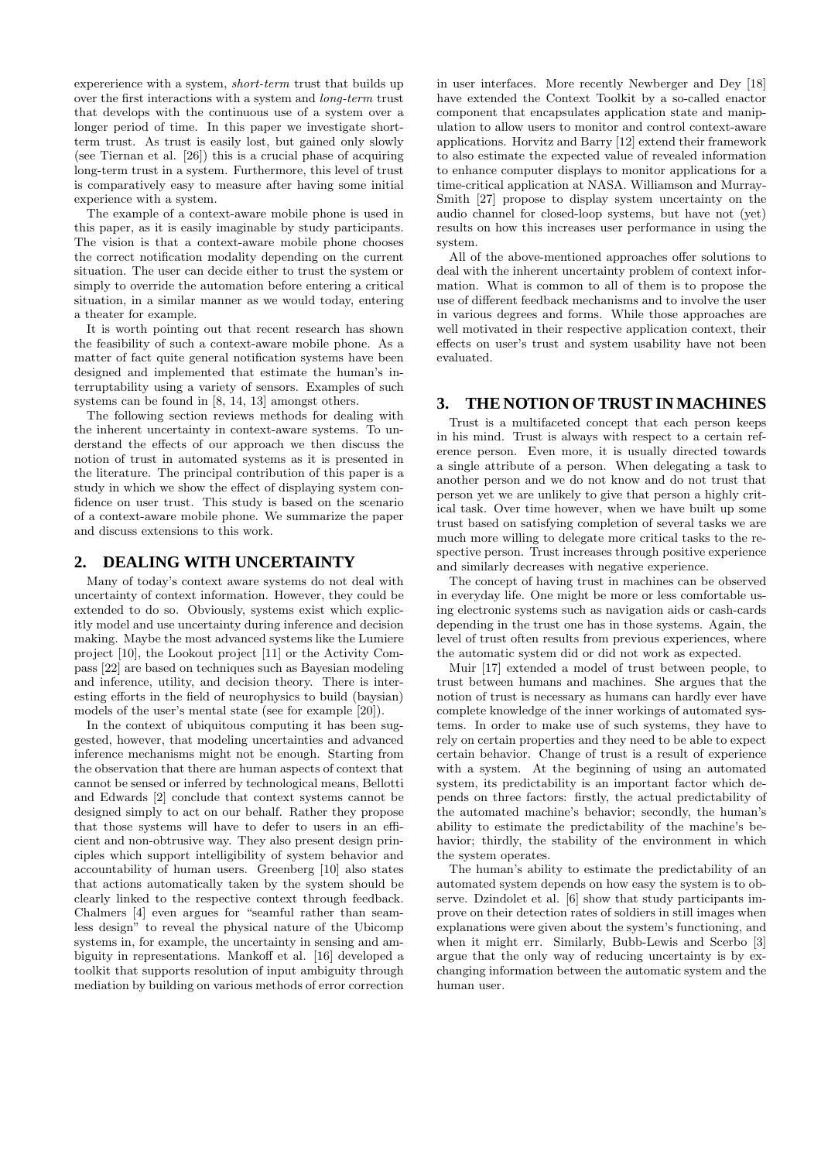expererience with a system, short-term trust that builds up over the first interactions with a system and long-term trust that develops with the continuous use of a system over a longer period of time. In this paper we investigate shortterm trust. As trust is easily lost, but gained only slowly (see Tiernan et al. [26]) this is a crucial phase of acquiring long-term trust in a system. Furthermore, this level of trust is comparatively easy to measure after having some initial experience with a system.

The example of a context-aware mobile phone is used in this paper, as it is easily imaginable by study participants. The vision is that a context-aware mobile phone chooses the correct notification modality depending on the current situation. The user can decide either to trust the system or simply to override the automation before entering a critical situation, in a similar manner as we would today, entering a theater for example.

It is worth pointing out that recent research has shown the feasibility of such a context-aware mobile phone. As a matter of fact quite general notification systems have been designed and implemented that estimate the human's interruptability using a variety of sensors. Examples of such systems can be found in [8, 14, 13] amongst others.

The following section reviews methods for dealing with the inherent uncertainty in context-aware systems. To understand the effects of our approach we then discuss the notion of trust in automated systems as it is presented in the literature. The principal contribution of this paper is a study in which we show the effect of displaying system confidence on user trust. This study is based on the scenario of a context-aware mobile phone. We summarize the paper and discuss extensions to this work.

#### **2. DEALING WITH UNCERTAINTY**

Many of today's context aware systems do not deal with uncertainty of context information. However, they could be extended to do so. Obviously, systems exist which explicitly model and use uncertainty during inference and decision making. Maybe the most advanced systems like the Lumiere project [10], the Lookout project [11] or the Activity Compass [22] are based on techniques such as Bayesian modeling and inference, utility, and decision theory. There is interesting efforts in the field of neurophysics to build (baysian) models of the user's mental state (see for example [20]).

In the context of ubiquitous computing it has been suggested, however, that modeling uncertainties and advanced inference mechanisms might not be enough. Starting from the observation that there are human aspects of context that cannot be sensed or inferred by technological means, Bellotti and Edwards [2] conclude that context systems cannot be designed simply to act on our behalf. Rather they propose that those systems will have to defer to users in an efficient and non-obtrusive way. They also present design principles which support intelligibility of system behavior and accountability of human users. Greenberg [10] also states that actions automatically taken by the system should be clearly linked to the respective context through feedback. Chalmers [4] even argues for "seamful rather than seamless design" to reveal the physical nature of the Ubicomp systems in, for example, the uncertainty in sensing and ambiguity in representations. Mankoff et al. [16] developed a toolkit that supports resolution of input ambiguity through mediation by building on various methods of error correction

in user interfaces. More recently Newberger and Dey [18] have extended the Context Toolkit by a so-called enactor component that encapsulates application state and manipulation to allow users to monitor and control context-aware applications. Horvitz and Barry [12] extend their framework to also estimate the expected value of revealed information to enhance computer displays to monitor applications for a time-critical application at NASA. Williamson and Murray-Smith [27] propose to display system uncertainty on the audio channel for closed-loop systems, but have not (yet) results on how this increases user performance in using the system.

All of the above-mentioned approaches offer solutions to deal with the inherent uncertainty problem of context information. What is common to all of them is to propose the use of different feedback mechanisms and to involve the user in various degrees and forms. While those approaches are well motivated in their respective application context, their effects on user's trust and system usability have not been evaluated.

## **3. THE NOTION OF TRUST IN MACHINES**

Trust is a multifaceted concept that each person keeps in his mind. Trust is always with respect to a certain reference person. Even more, it is usually directed towards a single attribute of a person. When delegating a task to another person and we do not know and do not trust that person yet we are unlikely to give that person a highly critical task. Over time however, when we have built up some trust based on satisfying completion of several tasks we are much more willing to delegate more critical tasks to the respective person. Trust increases through positive experience and similarly decreases with negative experience.

The concept of having trust in machines can be observed in everyday life. One might be more or less comfortable using electronic systems such as navigation aids or cash-cards depending in the trust one has in those systems. Again, the level of trust often results from previous experiences, where the automatic system did or did not work as expected.

Muir [17] extended a model of trust between people, to trust between humans and machines. She argues that the notion of trust is necessary as humans can hardly ever have complete knowledge of the inner workings of automated systems. In order to make use of such systems, they have to rely on certain properties and they need to be able to expect certain behavior. Change of trust is a result of experience with a system. At the beginning of using an automated system, its predictability is an important factor which depends on three factors: firstly, the actual predictability of the automated machine's behavior; secondly, the human's ability to estimate the predictability of the machine's behavior; thirdly, the stability of the environment in which the system operates.

The human's ability to estimate the predictability of an automated system depends on how easy the system is to observe. Dzindolet et al. [6] show that study participants improve on their detection rates of soldiers in still images when explanations were given about the system's functioning, and when it might err. Similarly, Bubb-Lewis and Scerbo [3] argue that the only way of reducing uncertainty is by exchanging information between the automatic system and the human user.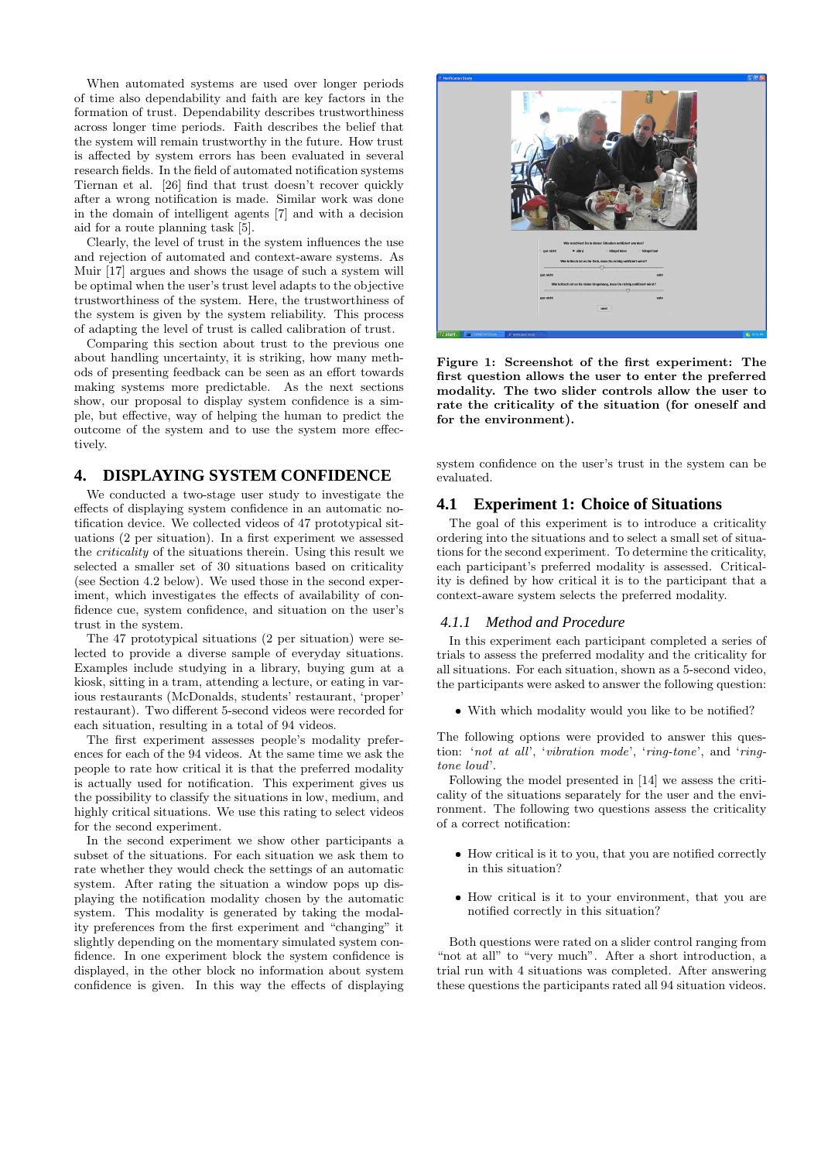When automated systems are used over longer periods of time also dependability and faith are key factors in the formation of trust. Dependability describes trustworthiness across longer time periods. Faith describes the belief that the system will remain trustworthy in the future. How trust is affected by system errors has been evaluated in several research fields. In the field of automated notification systems Tiernan et al. [26] find that trust doesn't recover quickly after a wrong notification is made. Similar work was done in the domain of intelligent agents [7] and with a decision aid for a route planning task [5].

Clearly, the level of trust in the system influences the use and rejection of automated and context-aware systems. As Muir [17] argues and shows the usage of such a system will be optimal when the user's trust level adapts to the objective trustworthiness of the system. Here, the trustworthiness of the system is given by the system reliability. This process of adapting the level of trust is called calibration of trust.

Comparing this section about trust to the previous one about handling uncertainty, it is striking, how many methods of presenting feedback can be seen as an effort towards making systems more predictable. As the next sections show, our proposal to display system confidence is a simple, but effective, way of helping the human to predict the outcome of the system and to use the system more effectively.

# **4. DISPLAYING SYSTEM CONFIDENCE**

We conducted a two-stage user study to investigate the effects of displaying system confidence in an automatic notification device. We collected videos of 47 prototypical situations (2 per situation). In a first experiment we assessed the criticality of the situations therein. Using this result we selected a smaller set of 30 situations based on criticality (see Section 4.2 below). We used those in the second experiment, which investigates the effects of availability of confidence cue, system confidence, and situation on the user's trust in the system.

The 47 prototypical situations (2 per situation) were selected to provide a diverse sample of everyday situations. Examples include studying in a library, buying gum at a kiosk, sitting in a tram, attending a lecture, or eating in various restaurants (McDonalds, students' restaurant, 'proper' restaurant). Two different 5-second videos were recorded for each situation, resulting in a total of 94 videos.

The first experiment assesses people's modality preferences for each of the 94 videos. At the same time we ask the people to rate how critical it is that the preferred modality is actually used for notification. This experiment gives us the possibility to classify the situations in low, medium, and highly critical situations. We use this rating to select videos for the second experiment.

In the second experiment we show other participants a subset of the situations. For each situation we ask them to rate whether they would check the settings of an automatic system. After rating the situation a window pops up displaying the notification modality chosen by the automatic system. This modality is generated by taking the modality preferences from the first experiment and "changing" it slightly depending on the momentary simulated system confidence. In one experiment block the system confidence is displayed, in the other block no information about system confidence is given. In this way the effects of displaying



Figure 1: Screenshot of the first experiment: The first question allows the user to enter the preferred modality. The two slider controls allow the user to rate the criticality of the situation (for oneself and for the environment).

system confidence on the user's trust in the system can be evaluated.

# **4.1 Experiment 1: Choice of Situations**

The goal of this experiment is to introduce a criticality ordering into the situations and to select a small set of situations for the second experiment. To determine the criticality, each participant's preferred modality is assessed. Criticality is defined by how critical it is to the participant that a context-aware system selects the preferred modality.

#### *4.1.1 Method and Procedure*

In this experiment each participant completed a series of trials to assess the preferred modality and the criticality for all situations. For each situation, shown as a 5-second video, the participants were asked to answer the following question:

• With which modality would you like to be notified?

The following options were provided to answer this question: 'not at all', 'vibration mode', 'ring-tone', and 'ringtone loud'.

Following the model presented in [14] we assess the criticality of the situations separately for the user and the environment. The following two questions assess the criticality of a correct notification:

- How critical is it to you, that you are notified correctly in this situation?
- How critical is it to your environment, that you are notified correctly in this situation?

Both questions were rated on a slider control ranging from "not at all" to "very much". After a short introduction, a trial run with 4 situations was completed. After answering these questions the participants rated all 94 situation videos.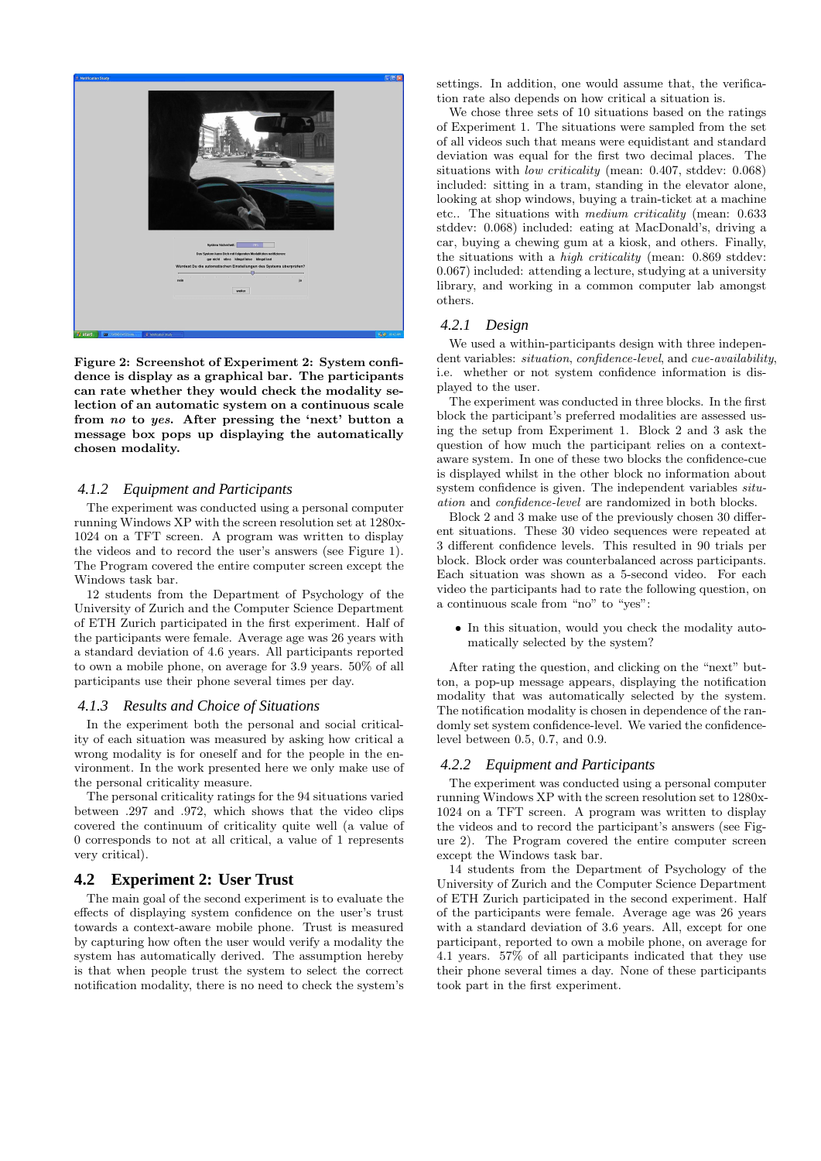

Figure 2: Screenshot of Experiment 2: System confidence is display as a graphical bar. The participants can rate whether they would check the modality selection of an automatic system on a continuous scale from no to yes. After pressing the 'next' button a message box pops up displaying the automatically chosen modality.

#### *4.1.2 Equipment and Participants*

The experiment was conducted using a personal computer running Windows XP with the screen resolution set at 1280x-1024 on a TFT screen. A program was written to display the videos and to record the user's answers (see Figure 1). The Program covered the entire computer screen except the Windows task bar.

12 students from the Department of Psychology of the University of Zurich and the Computer Science Department of ETH Zurich participated in the first experiment. Half of the participants were female. Average age was 26 years with a standard deviation of 4.6 years. All participants reported to own a mobile phone, on average for 3.9 years. 50% of all participants use their phone several times per day.

#### *4.1.3 Results and Choice of Situations*

In the experiment both the personal and social criticality of each situation was measured by asking how critical a wrong modality is for oneself and for the people in the environment. In the work presented here we only make use of the personal criticality measure.

The personal criticality ratings for the 94 situations varied between .297 and .972, which shows that the video clips covered the continuum of criticality quite well (a value of 0 corresponds to not at all critical, a value of 1 represents very critical).

### **4.2 Experiment 2: User Trust**

The main goal of the second experiment is to evaluate the effects of displaying system confidence on the user's trust towards a context-aware mobile phone. Trust is measured by capturing how often the user would verify a modality the system has automatically derived. The assumption hereby is that when people trust the system to select the correct notification modality, there is no need to check the system's

settings. In addition, one would assume that, the verification rate also depends on how critical a situation is.

We chose three sets of 10 situations based on the ratings of Experiment 1. The situations were sampled from the set of all videos such that means were equidistant and standard deviation was equal for the first two decimal places. The situations with low criticality (mean: 0.407, stddev: 0.068) included: sitting in a tram, standing in the elevator alone, looking at shop windows, buying a train-ticket at a machine etc.. The situations with medium criticality (mean: 0.633 stddev: 0.068) included: eating at MacDonald's, driving a car, buying a chewing gum at a kiosk, and others. Finally, the situations with a high criticality (mean: 0.869 stddev: 0.067) included: attending a lecture, studying at a university library, and working in a common computer lab amongst others.

#### *4.2.1 Design*

We used a within-participants design with three independent variables: *situation*, *confidence-level*, and *cue-availability*, i.e. whether or not system confidence information is displayed to the user.

The experiment was conducted in three blocks. In the first block the participant's preferred modalities are assessed using the setup from Experiment 1. Block 2 and 3 ask the question of how much the participant relies on a contextaware system. In one of these two blocks the confidence-cue is displayed whilst in the other block no information about system confidence is given. The independent variables situation and confidence-level are randomized in both blocks.

Block 2 and 3 make use of the previously chosen 30 different situations. These 30 video sequences were repeated at 3 different confidence levels. This resulted in 90 trials per block. Block order was counterbalanced across participants. Each situation was shown as a 5-second video. For each video the participants had to rate the following question, on a continuous scale from "no" to "yes":

• In this situation, would you check the modality automatically selected by the system?

After rating the question, and clicking on the "next" button, a pop-up message appears, displaying the notification modality that was automatically selected by the system. The notification modality is chosen in dependence of the randomly set system confidence-level. We varied the confidencelevel between 0.5, 0.7, and 0.9.

#### *4.2.2 Equipment and Participants*

The experiment was conducted using a personal computer running Windows XP with the screen resolution set to 1280x-1024 on a TFT screen. A program was written to display the videos and to record the participant's answers (see Figure 2). The Program covered the entire computer screen except the Windows task bar.

14 students from the Department of Psychology of the University of Zurich and the Computer Science Department of ETH Zurich participated in the second experiment. Half of the participants were female. Average age was 26 years with a standard deviation of 3.6 years. All, except for one participant, reported to own a mobile phone, on average for 4.1 years. 57% of all participants indicated that they use their phone several times a day. None of these participants took part in the first experiment.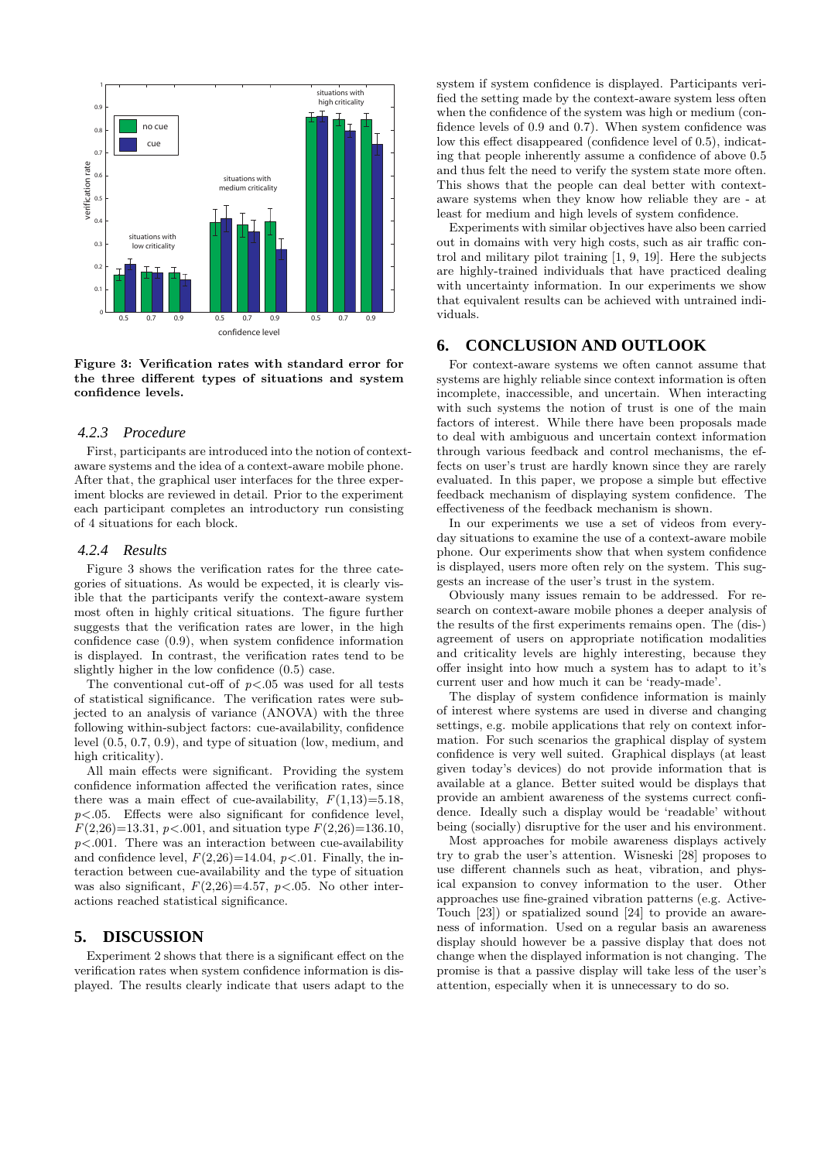

Figure 3: Verification rates with standard error for the three different types of situations and system confidence levels.

#### *4.2.3 Procedure*

First, participants are introduced into the notion of contextaware systems and the idea of a context-aware mobile phone. After that, the graphical user interfaces for the three experiment blocks are reviewed in detail. Prior to the experiment each participant completes an introductory run consisting of 4 situations for each block.

#### *4.2.4 Results*

Figure 3 shows the verification rates for the three categories of situations. As would be expected, it is clearly visible that the participants verify the context-aware system most often in highly critical situations. The figure further suggests that the verification rates are lower, in the high confidence case (0.9), when system confidence information is displayed. In contrast, the verification rates tend to be slightly higher in the low confidence (0.5) case.

The conventional cut-off of  $p < .05$  was used for all tests of statistical significance. The verification rates were subjected to an analysis of variance (ANOVA) with the three following within-subject factors: cue-availability, confidence level (0.5, 0.7, 0.9), and type of situation (low, medium, and high criticality).

All main effects were significant. Providing the system confidence information affected the verification rates, since there was a main effect of cue-availability,  $F(1,13)=5.18$ ,  $p<.05$ . Effects were also significant for confidence level,  $F(2,26)=13.31, p<.001$ , and situation type  $F(2,26)=136.10$ ,  $p<.001$ . There was an interaction between cue-availability and confidence level,  $F(2,26)=14.04$ ,  $p<0.01$ . Finally, the interaction between cue-availability and the type of situation was also significant,  $F(2.26)=4.57$ ,  $p<0.05$ . No other interactions reached statistical significance.

## **5. DISCUSSION**

Experiment 2 shows that there is a significant effect on the verification rates when system confidence information is displayed. The results clearly indicate that users adapt to the

system if system confidence is displayed. Participants verified the setting made by the context-aware system less often when the confidence of the system was high or medium (confidence levels of 0.9 and 0.7). When system confidence was low this effect disappeared (confidence level of 0.5), indicating that people inherently assume a confidence of above 0.5 and thus felt the need to verify the system state more often. This shows that the people can deal better with contextaware systems when they know how reliable they are - at least for medium and high levels of system confidence.

Experiments with similar objectives have also been carried out in domains with very high costs, such as air traffic control and military pilot training [1, 9, 19]. Here the subjects are highly-trained individuals that have practiced dealing with uncertainty information. In our experiments we show that equivalent results can be achieved with untrained individuals.

#### **6. CONCLUSION AND OUTLOOK**

For context-aware systems we often cannot assume that systems are highly reliable since context information is often incomplete, inaccessible, and uncertain. When interacting with such systems the notion of trust is one of the main factors of interest. While there have been proposals made to deal with ambiguous and uncertain context information through various feedback and control mechanisms, the effects on user's trust are hardly known since they are rarely evaluated. In this paper, we propose a simple but effective feedback mechanism of displaying system confidence. The effectiveness of the feedback mechanism is shown.

In our experiments we use a set of videos from everyday situations to examine the use of a context-aware mobile phone. Our experiments show that when system confidence is displayed, users more often rely on the system. This suggests an increase of the user's trust in the system.

Obviously many issues remain to be addressed. For research on context-aware mobile phones a deeper analysis of the results of the first experiments remains open. The (dis-) agreement of users on appropriate notification modalities and criticality levels are highly interesting, because they offer insight into how much a system has to adapt to it's current user and how much it can be 'ready-made'.

The display of system confidence information is mainly of interest where systems are used in diverse and changing settings, e.g. mobile applications that rely on context information. For such scenarios the graphical display of system confidence is very well suited. Graphical displays (at least given today's devices) do not provide information that is available at a glance. Better suited would be displays that provide an ambient awareness of the systems currect confidence. Ideally such a display would be 'readable' without being (socially) disruptive for the user and his environment.

Most approaches for mobile awareness displays actively try to grab the user's attention. Wisneski [28] proposes to use different channels such as heat, vibration, and physical expansion to convey information to the user. Other approaches use fine-grained vibration patterns (e.g. Active-Touch [23]) or spatialized sound [24] to provide an awareness of information. Used on a regular basis an awareness display should however be a passive display that does not change when the displayed information is not changing. The promise is that a passive display will take less of the user's attention, especially when it is unnecessary to do so.